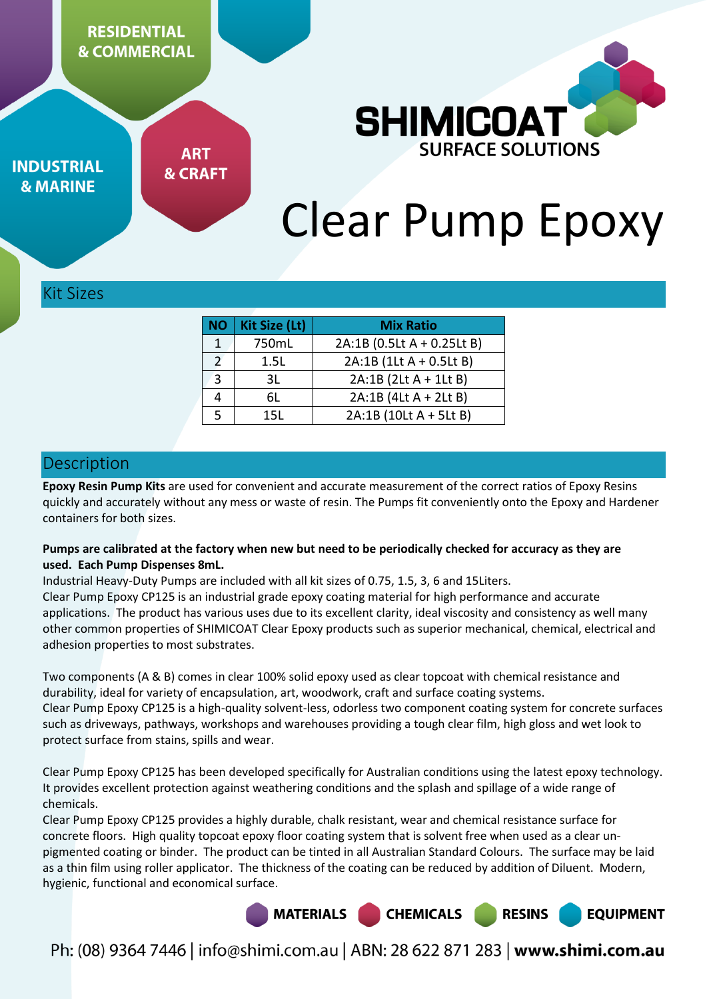**RESIDENTIAL & COMMERCIAL** 



**INDUSTRIAL & MARINE** 

**ART & CRAFT** 

# Clear Pump Epoxy

Kit Sizes

| <b>NO</b>      | <b>Kit Size (Lt)</b> | <b>Mix Ratio</b>           |  |  |
|----------------|----------------------|----------------------------|--|--|
| 1              | 750mL                | 2A:1B (0.5Lt A + 0.25Lt B) |  |  |
| $\mathfrak{D}$ | 1.5L                 | 2A:1B (1Lt A + 0.5Lt B)    |  |  |
| 3              | 3L                   | 2A:1B (2Lt A + 1Lt B)      |  |  |
| 4              | 6L                   | 2A:1B (4Lt A + 2Lt B)      |  |  |
|                | 15I.                 | 2A:1B (10Lt A + 5Lt B)     |  |  |

## Description

**Epoxy Resin Pump Kits** are used for convenient and accurate measurement of the correct ratios of Epoxy Resins quickly and accurately without any mess or waste of resin. The Pumps fit conveniently onto the Epoxy and Hardener containers for both sizes.

#### **Pumps are calibrated at the factory when new but need to be periodically checked for accuracy as they are used. Each Pump Dispenses 8mL.**

Industrial Heavy-Duty Pumps are included with all kit sizes of 0.75, 1.5, 3, 6 and 15Liters. Clear Pump Epoxy CP125 is an industrial grade epoxy coating material for high performance and accurate applications. The product has various uses due to its excellent clarity, ideal viscosity and consistency as well many other common properties of SHIMICOAT Clear Epoxy products such as superior mechanical, chemical, electrical and adhesion properties to most substrates.

Two components (A & B) comes in clear 100% solid epoxy used as clear topcoat with chemical resistance and durability, ideal for variety of encapsulation, art, woodwork, craft and surface coating systems. Clear Pump Epoxy CP125 is a high-quality solvent-less, odorless two component coating system for concrete surfaces such as driveways, pathways, workshops and warehouses providing a tough clear film, high gloss and wet look to protect surface from stains, spills and wear.

Clear Pump Epoxy CP125 has been developed specifically for Australian conditions using the latest epoxy technology. It provides excellent protection against weathering conditions and the splash and spillage of a wide range of chemicals.

Clear Pump Epoxy CP125 provides a highly durable, chalk resistant, wear and chemical resistance surface for concrete floors. High quality topcoat epoxy floor coating system that is solvent free when used as a clear unpigmented coating or binder. The product can be tinted in all Australian Standard Colours. The surface may be laid as a thin film using roller applicator. The thickness of the coating can be reduced by addition of Diluent. Modern, hygienic, functional and economical surface.



Ph: (08) 9364 7446 | info@shimi.com.au | ABN: 28 622 871 283 | www.shimi.com.au

**CHEMICALS** 

**RESINS** 

**EQUIPMENT**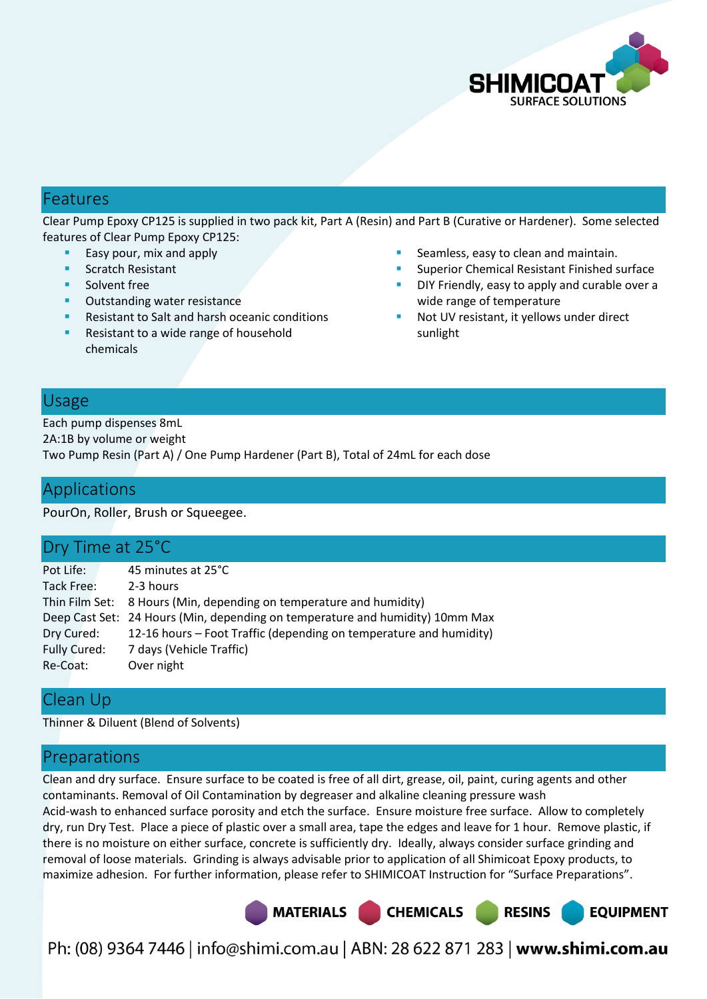

# Features

Clear Pump Epoxy CP125 is supplied in two pack kit, Part A (Resin) and Part B (Curative or Hardener). Some selected features of Clear Pump Epoxy CP125:

- Easy pour, mix and apply
- **Scratch Resistant**
- Solvent free
- **•** Outstanding water resistance
- Resistant to Salt and harsh oceanic conditions
- Resistant to a wide range of household chemicals
- Seamless, easy to clean and maintain.
- Superior Chemical Resistant Finished surface
- DIY Friendly, easy to apply and curable over a wide range of temperature
- Not UV resistant, it yellows under direct sunlight

## Usage

Each pump dispenses 8mL 2A:1B by volume or weight Two Pump Resin (Part A) / One Pump Hardener (Part B), Total of 24mL for each dose

# Applications

PourOn, Roller, Brush or Squeegee.

## Dry Time at 25°C

| Pot Life:    | 45 minutes at 25°C                                                            |
|--------------|-------------------------------------------------------------------------------|
| Tack Free:   | 2-3 hours                                                                     |
|              | Thin Film Set: 8 Hours (Min, depending on temperature and humidity)           |
|              | Deep Cast Set: 24 Hours (Min, depending on temperature and humidity) 10mm Max |
| Dry Cured:   | 12-16 hours – Foot Traffic (depending on temperature and humidity)            |
| Fully Cured: | 7 days (Vehicle Traffic)                                                      |
| Re-Coat:     | Over night                                                                    |
|              |                                                                               |

# Clean Up

Thinner & Diluent (Blend of Solvents)

# Preparations

Clean and dry surface. Ensure surface to be coated is free of all dirt, grease, oil, paint, curing agents and other contaminants. Removal of Oil Contamination by degreaser and alkaline cleaning pressure wash Acid-wash to enhanced surface porosity and etch the surface. Ensure moisture free surface. Allow to completely dry, run Dry Test. Place a piece of plastic over a small area, tape the edges and leave for 1 hour. Remove plastic, if there is no moisture on either surface, concrete is sufficiently dry. Ideally, always consider surface grinding and removal of loose materials. Grinding is always advisable prior to application of all Shimicoat Epoxy products, to maximize adhesion. For further information, please refer to SHIMICOAT Instruction for "Surface Preparations".

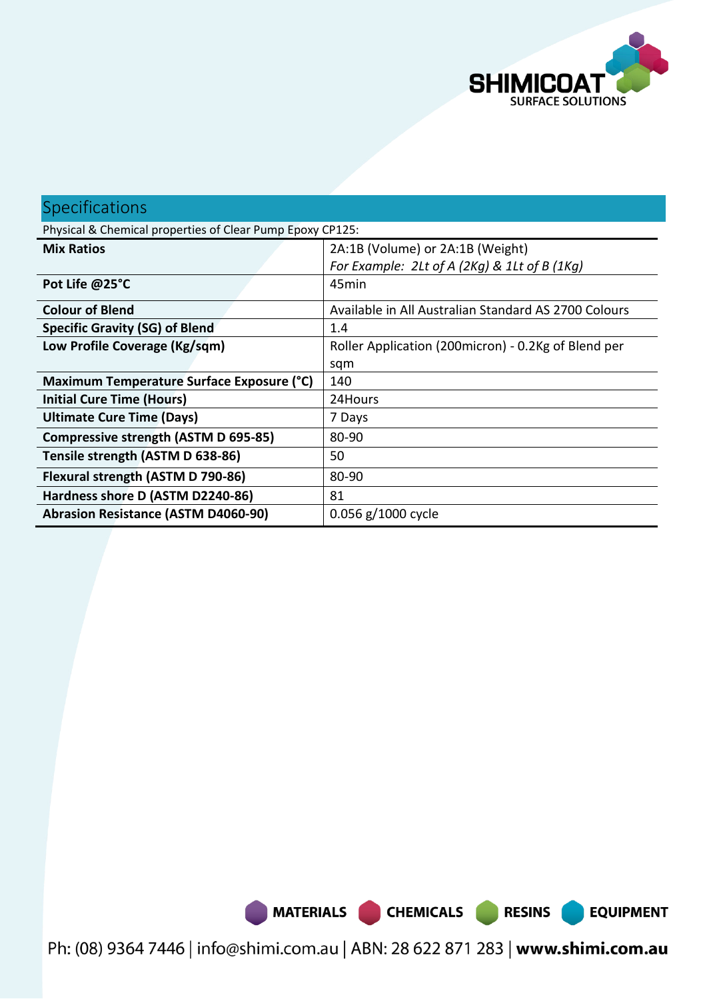

**EQUIPMENT** 

# Specifications Physical & Chemical properties of Clear Pump Epoxy CP125: **Mix Ratios** 2A:1B (Volume) or 2A:1B (Weight) *For Example: 2Lt of A (2Kg) & 1Lt of B (1Kg)* Pot Life @25°C and a set of the set of the set of the set of the set of the set of the set of the set of the set of the set of the set of the set of the set of the set of the set of the set of the set of the set of the set **Colour of Blend Colours Available in All Australian Standard AS 2700 Colours Specific Gravity (SG) of Blend**  1.4 **Low Profile Coverage (Kg/sqm)** | Roller Application (200micron) - 0.2Kg of Blend per sqm **Maximum Temperature Surface Exposure (°C)** 140 **Initial Cure Time (Hours) 124Hours Ultimate Cure Time (Days) 1** 7 Days **Compressive strength (ASTM D 695-85)** 80-90 **Tensile strength (ASTM D 638-86)** 50 **Flexural strength (ASTM D 790-86)** | 80-90 **Hardness shore D (ASTM D2240-86)** 81 **Abrasion Resistance (ASTM D4060-90)** 0.056 g/1000 cycle

MATERIALS CHEMICALS RESINS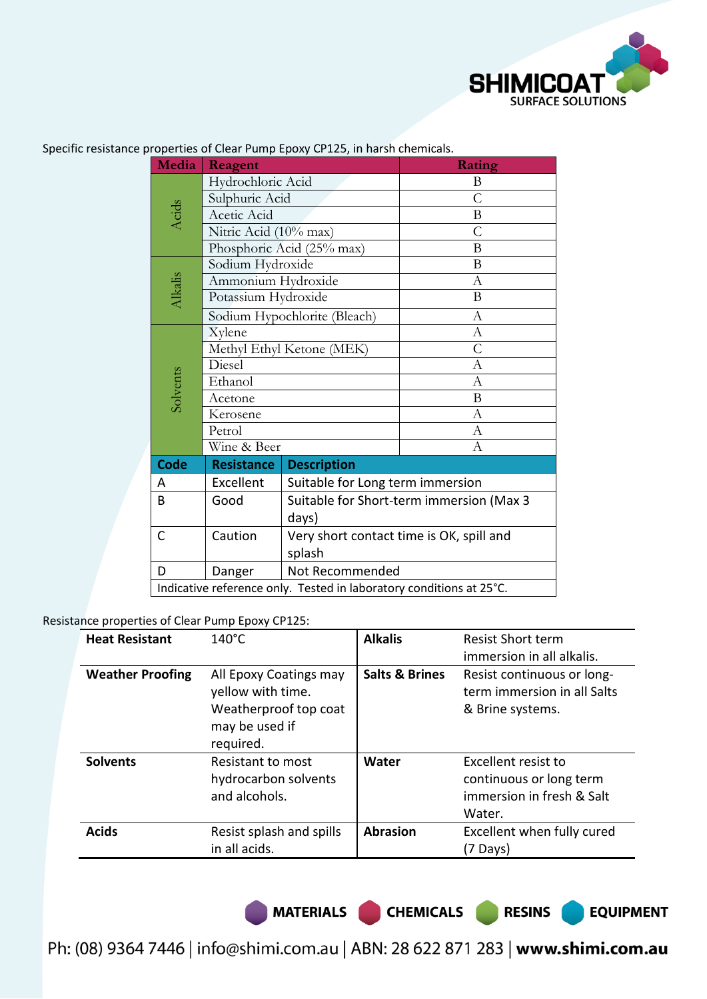

| Media                                                               | Reagent                      |                                          | Rating         |  |
|---------------------------------------------------------------------|------------------------------|------------------------------------------|----------------|--|
|                                                                     | Hydrochloric Acid            |                                          | B              |  |
|                                                                     | Sulphuric Acid               |                                          | $\overline{C}$ |  |
| Acids                                                               | Acetic Acid                  |                                          | Β              |  |
|                                                                     | Nitric Acid (10% max)        |                                          | C              |  |
|                                                                     | Phosphoric Acid (25% max)    |                                          | B              |  |
|                                                                     | Sodium Hydroxide             |                                          | B              |  |
|                                                                     | Ammonium Hydroxide           |                                          | $\mathbf{A}$   |  |
| Alkalis                                                             | Potassium Hydroxide          |                                          | B              |  |
|                                                                     | Sodium Hypochlorite (Bleach) |                                          | A              |  |
|                                                                     | Xylene                       |                                          | A              |  |
|                                                                     | Methyl Ethyl Ketone (MEK)    |                                          | C              |  |
|                                                                     | Diesel                       |                                          | А              |  |
| Solvents                                                            | Ethanol                      |                                          | А              |  |
|                                                                     | Acetone                      |                                          | B              |  |
|                                                                     | Kerosene                     |                                          | А              |  |
|                                                                     | Petrol                       |                                          | А              |  |
|                                                                     | Wine & Beer                  |                                          | А              |  |
| <b>Code</b>                                                         | <b>Resistance</b>            | <b>Description</b>                       |                |  |
| A                                                                   | Excellent                    | Suitable for Long term immersion         |                |  |
| B                                                                   | Good                         | Suitable for Short-term immersion (Max 3 |                |  |
|                                                                     |                              | days)                                    |                |  |
| C                                                                   | Caution                      | Very short contact time is OK, spill and |                |  |
|                                                                     | splash                       |                                          |                |  |
| D                                                                   | Danger                       | Not Recommended                          |                |  |
| Indicative reference only. Tested in laboratory conditions at 25°C. |                              |                                          |                |  |

Specific resistance properties of Clear Pump Epoxy CP125, in harsh chemicals.

Resistance properties of Clear Pump Epoxy CP125:

| <b>Heat Resistant</b>   | $140^{\circ}$ C                                                                                     | <b>Alkalis</b>            | <b>Resist Short term</b><br>immersion in all alkalis.                                 |
|-------------------------|-----------------------------------------------------------------------------------------------------|---------------------------|---------------------------------------------------------------------------------------|
| <b>Weather Proofing</b> | All Epoxy Coatings may<br>yellow with time.<br>Weatherproof top coat<br>may be used if<br>required. | <b>Salts &amp; Brines</b> | Resist continuous or long-<br>term immersion in all Salts<br>& Brine systems.         |
| <b>Solvents</b>         | Resistant to most<br>hydrocarbon solvents<br>and alcohols.                                          | Water                     | Excellent resist to<br>continuous or long term<br>immersion in fresh & Salt<br>Water. |
| <b>Acids</b>            | Resist splash and spills<br>in all acids.                                                           | <b>Abrasion</b>           | Excellent when fully cured<br>(7 Days)                                                |

MATERIALS CHEMICALS RESINS

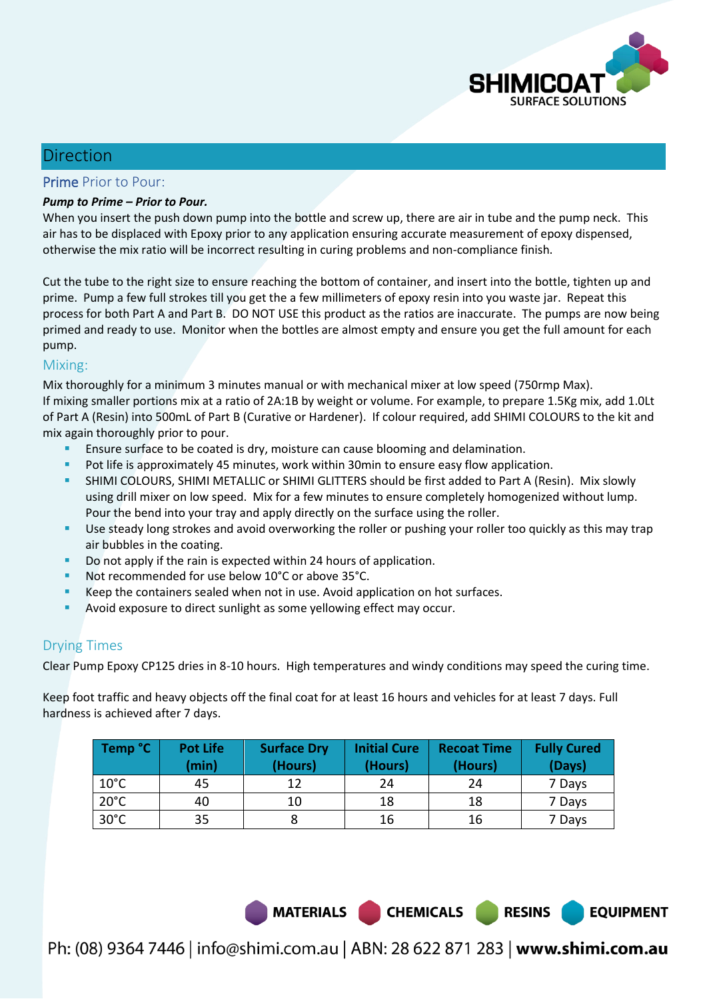

**EQUIPMENT** 

# Direction

#### Prime Prior to Pour:

#### *Pump to Prime – Prior to Pour.*

When you insert the push down pump into the bottle and screw up, there are air in tube and the pump neck. This air has to be displaced with Epoxy prior to any application ensuring accurate measurement of epoxy dispensed, otherwise the mix ratio will be incorrect resulting in curing problems and non-compliance finish.

Cut the tube to the right size to ensure reaching the bottom of container, and insert into the bottle, tighten up and prime. Pump a few full strokes till you get the a few millimeters of epoxy resin into you waste jar. Repeat this process for both Part A and Part B. DO NOT USE this product as the ratios are inaccurate. The pumps are now being primed and ready to use. Monitor when the bottles are almost empty and ensure you get the full amount for each pump.

#### Mixing:

Mix thoroughly for a minimum 3 minutes manual or with mechanical mixer at low speed (750rmp Max). If mixing smaller portions mix at a ratio of 2A:1B by weight or volume. For example, to prepare 1.5Kg mix, add 1.0Lt of Part A (Resin) into 500mL of Part B (Curative or Hardener). If colour required, add SHIMI COLOURS to the kit and mix again thoroughly prior to pour.

- Ensure surface to be coated is dry, moisture can cause blooming and delamination.
- Pot life is approximately 45 minutes, work within 30min to ensure easy flow application.
- SHIMI COLOURS, SHIMI METALLIC or SHIMI GLITTERS should be first added to Part A (Resin). Mix slowly using drill mixer on low speed. Mix for a few minutes to ensure completely homogenized without lump. Pour the bend into your tray and apply directly on the surface using the roller.
- Use steady long strokes and avoid overworking the roller or pushing your roller too quickly as this may trap air bubbles in the coating.
- Do not apply if the rain is expected within 24 hours of application.
- Not recommended for use below 10°C or above 35°C.
- Keep the containers sealed when not in use. Avoid application on hot surfaces.
- Avoid exposure to direct sunlight as some yellowing effect may occur.

### Drying Times

Clear Pump Epoxy CP125 dries in 8-10 hours. High temperatures and windy conditions may speed the curing time.

Keep foot traffic and heavy objects off the final coat for at least 16 hours and vehicles for at least 7 days. Full hardness is achieved after 7 days.

| Temp °C        | <b>Pot Life</b><br>(min) | <b>Surface Dry</b><br>(Hours) | <b>Initial Cure</b><br>(Hours) | <b>Recoat Time</b><br>(Hours) | <b>Fully Cured</b><br>(Days) |
|----------------|--------------------------|-------------------------------|--------------------------------|-------------------------------|------------------------------|
| $10^{\circ}$ C | 45                       | 12                            | 24                             | 24                            | 7 Days                       |
| $20^{\circ}$ C | 40                       | 10                            | 18                             | 18                            | 7 Days                       |
| $30^{\circ}$ C | 35                       |                               | 16                             | 16                            | 7 Days                       |

MATERIALS CHEMICALS RESINS